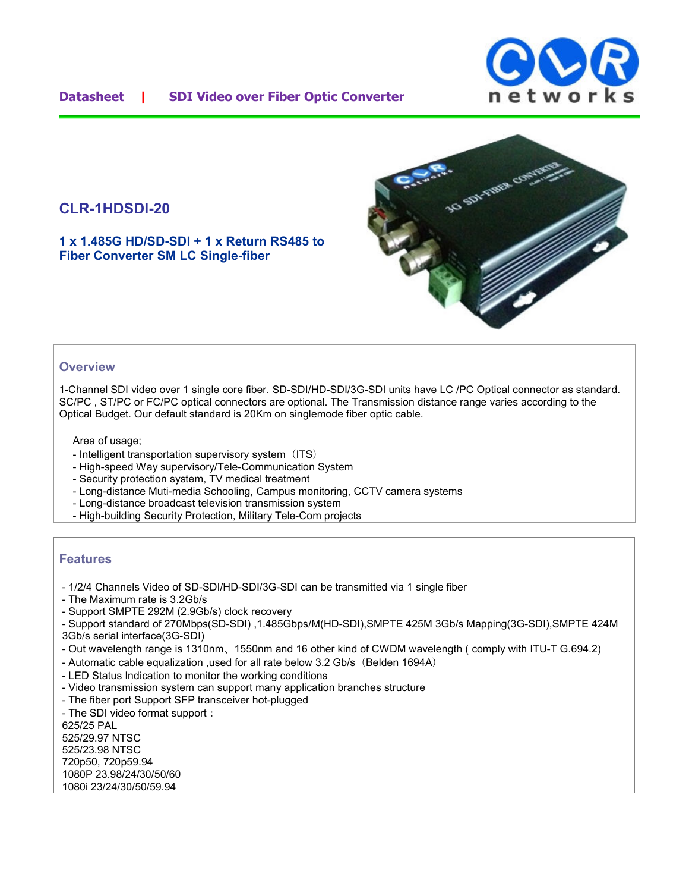## **CLR-1HDSDI-20**

**1 x 1.485G HD/SD-SDI + 1 x Return RS485 to Fiber Converter SM LC Single-fiber**



### **Overview**

1-Channel SDI video over 1 single core fiber. SD-SDI/HD-SDI/3G-SDI units have LC /PC Optical connector as standard. SC/PC , ST/PC or FC/PC optical connectors are optional. The Transmission distance range varies according to the Optical Budget. Our default standard is 20Km on singlemode fiber optic cable.

Area of usage;

- Intelligent transportation supervisory system (ITS)
- High-speed Way supervisory/Tele-Communication System
- Security protection system, TV medical treatment
- Long-distance Muti-media Schooling, Campus monitoring, CCTV camera systems
- Long-distance broadcast television transmission system
- High-building Security Protection, Military Tele-Com projects

#### **Features**

- 1/2/4 Channels Video of SD-SDI/HD-SDI/3G-SDI can be transmitted via 1 single fiber
- The Maximum rate is 3.2Gb/s
- Support SMPTE 292M (2.9Gb/s) clock recovery

- Support standard of 270Mbps(SD-SDI) ,1.485Gbps/M(HD-SDI),SMPTE 425M 3Gb/s Mapping(3G-SDI),SMPTE 424M 3Gb/s serial interface(3G-SDI)

- Out wavelength range is 1310nm、1550nm and 16 other kind of CWDM wavelength ( comply with ITU-T G.694.2)
- Automatic cable equalization , used for all rate below 3.2 Gb/s (Belden 1694A)
- LED Status Indication to monitor the working conditions
- Video transmission system can support many application branches structure
- The fiber port Support SFP transceiver hot-plugged
- The SDI video format support:

625/25 PAL 525/29.97 NTSC 525/23.98 NTSC 720p50, 720p59.94 1080P 23.98/24/30/50/60 1080i 23/24/30/50/59.94